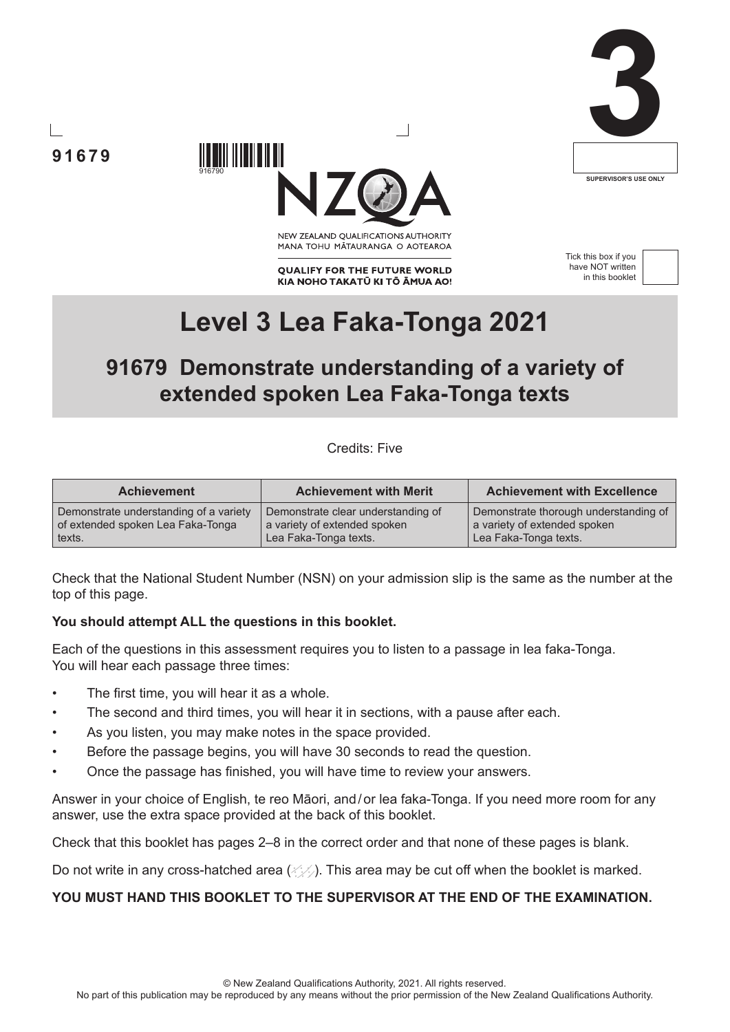





NEW ZEALAND OUALIFICATIONS AUTHORITY MANA TOHU MATAURANGA O AOTEAROA

**QUALIFY FOR THE FUTURE WORLD** KIA NOHO TAKATŪ KI TŌ ĀMUA AO! Tick this box if you have NOT written in this booklet



# **Level 3 Lea Faka-Tonga 2021**

## **91679 Demonstrate understanding of a variety of extended spoken Lea Faka-Tonga texts**

Credits: Five

| <b>Achievement</b>                     | <b>Achievement with Merit</b>      | <b>Achievement with Excellence</b>    |  |
|----------------------------------------|------------------------------------|---------------------------------------|--|
| Demonstrate understanding of a variety | Demonstrate clear understanding of | Demonstrate thorough understanding of |  |
| of extended spoken Lea Faka-Tonga      | a variety of extended spoken       | a variety of extended spoken          |  |
| texts.                                 | Lea Faka-Tonga texts.              | Lea Faka-Tonga texts.                 |  |

Check that the National Student Number (NSN) on your admission slip is the same as the number at the top of this page.

#### **You should attempt ALL the questions in this booklet.**

916790

Each of the questions in this assessment requires you to listen to a passage in lea faka-Tonga. You will hear each passage three times:

- The first time, you will hear it as a whole.
- The second and third times, you will hear it in sections, with a pause after each.
- As you listen, you may make notes in the space provided.
- Before the passage begins, you will have 30 seconds to read the question.
- Once the passage has finished, you will have time to review your answers.

Answer in your choice of English, te reo Māori, and/or lea faka-Tonga. If you need more room for any answer, use the extra space provided at the back of this booklet.

Check that this booklet has pages 2–8 in the correct order and that none of these pages is blank.

Do not write in any cross-hatched area  $(\Diamond \Diamond)$ . This area may be cut off when the booklet is marked.

#### **YOU MUST HAND THIS BOOKLET TO THE SUPERVISOR AT THE END OF THE EXAMINATION.**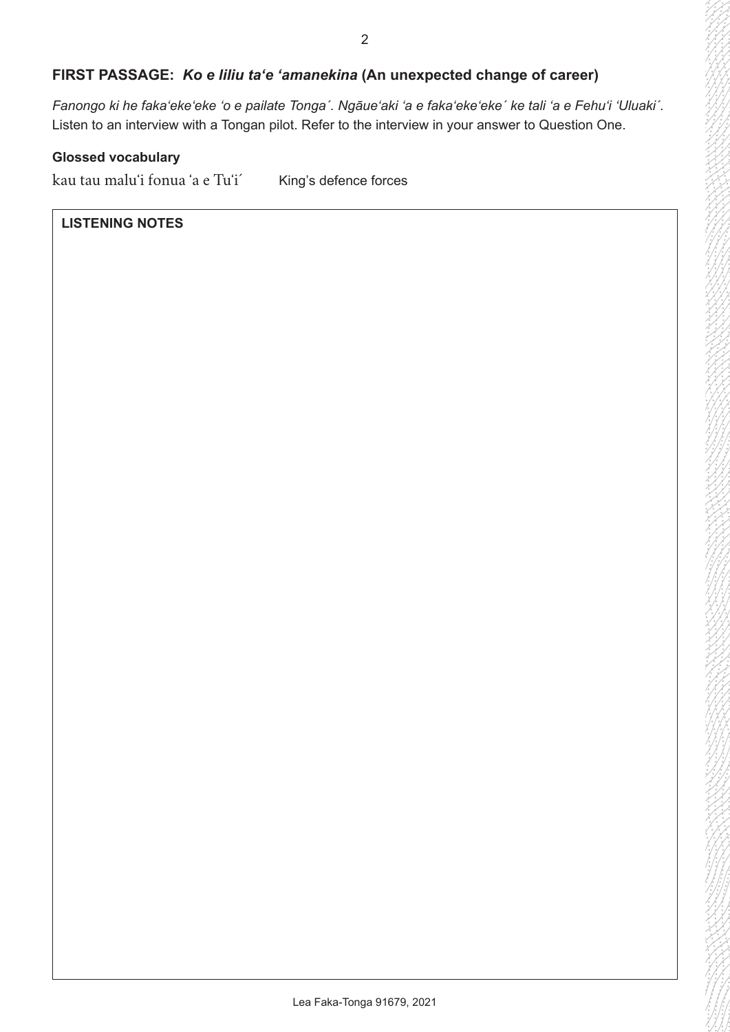## **FIRST PASSAGE:** *Ko e liliu taʻe ʻamanekina* **(An unexpected change of career)**

*Fanongo ki he fakaʻekeʻeke ʻo e pailate Tonga´. Ngāueʻaki 'a e fakaʻekeʻekeˊ ke tali 'a e Fehuʻi ʻUluakiˊ.* Listen to an interview with a Tongan pilot. Refer to the interview in your answer to Question One.

#### **Glossed vocabulary**

kau tau maluʻi fonua ʻa e Tuʻi´ King's defence forces

#### **LISTENING NOTES**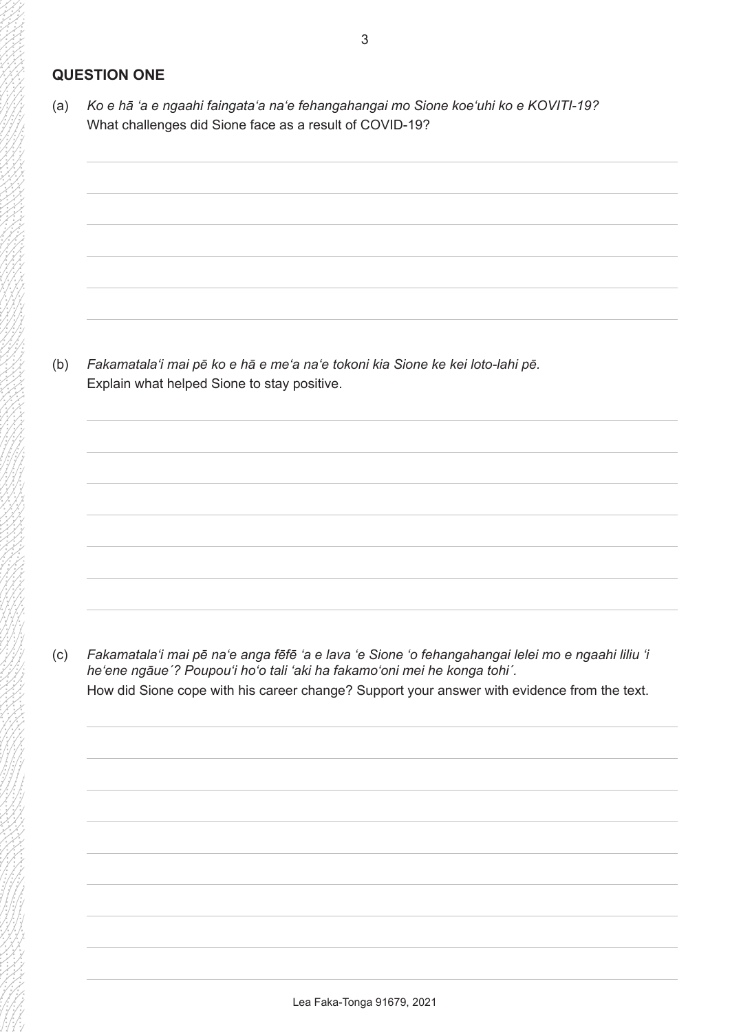## **QUESTION ONE**

(a) *Ko e hā 'a e ngaahi faingataʻa naʻe fehangahangai mo Sione koeʻuhi ko e KOVITI-19?* What challenges did Sione face as a result of COVID-19?

(b) *Fakamatala'i mai pē ko e hā e meʻa naʻe tokoni kia Sione ke kei loto-lahi pē.* Explain what helped Sione to stay positive.

(c) *Fakamatala'i mai pē naʻe anga fēfē 'a e lava 'e Sione 'o fehangahangai lelei mo e ngaahi liliu 'i he'ene ngāue´? Poupou'i ho'o tali 'aki ha fakamo'oni mei he konga tohi´.* How did Sione cope with his career change? Support your answer with evidence from the text.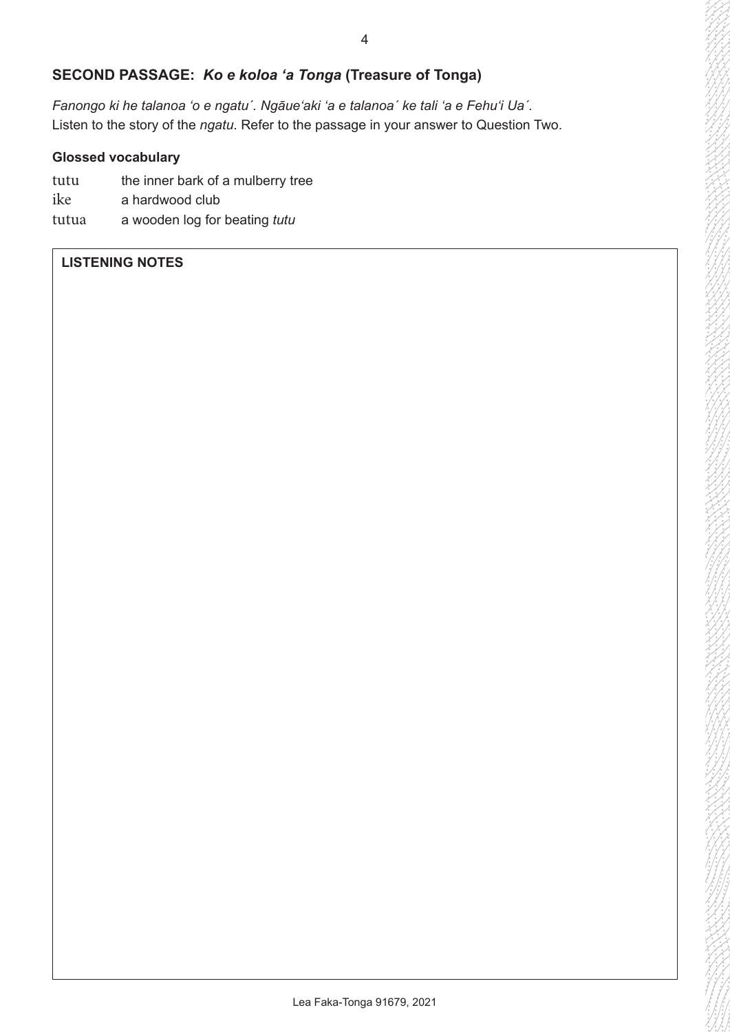## **SECOND PASSAGE:** *Ko e koloa 'a Tonga* **(Treasure of Tonga)**

*Fanongo ki he talanoa 'o e ngatu´. Ngāueʻaki 'a e talanoaˊ ke tali 'a e Fehuʻi Uaˊ.* Listen to the story of the *ngatu*. Refer to the passage in your answer to Question Two.

#### **Glossed vocabulary**

- tutu the inner bark of a mulberry tree
- ike a hardwood club
- tutua a wooden log for beating *tutu*

#### **LISTENING NOTES**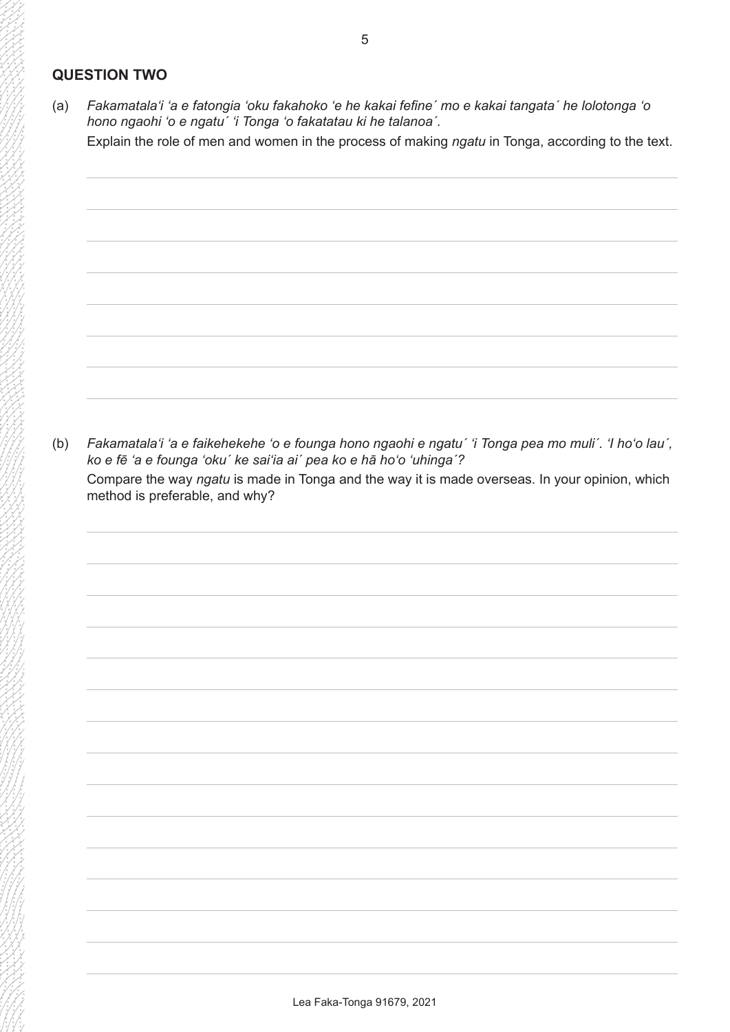## **QUESTION TWO**

(a) *Fakamatala'i 'a e fatongia 'oku fakahoko 'e he kakai fefine´ mo e kakai tangata´ he lolotonga 'o hono ngaohi 'o e ngatu´ 'i Tonga 'o fakatatau ki he talanoa´.*

Explain the role of men and women in the process of making *ngatu* in Tonga, according to the text.

(b) *Fakamatala'i 'a e faikehekehe 'o e founga hono ngaohi e ngatu´ 'i Tonga pea mo muli´. 'I ho'o lau´, ko e fē 'a e founga 'oku´ ke saiʻia ai´ pea ko e hā ho'o 'uhinga´?*

Compare the way *ngatu* is made in Tonga and the way it is made overseas. In your opinion, which method is preferable, and why?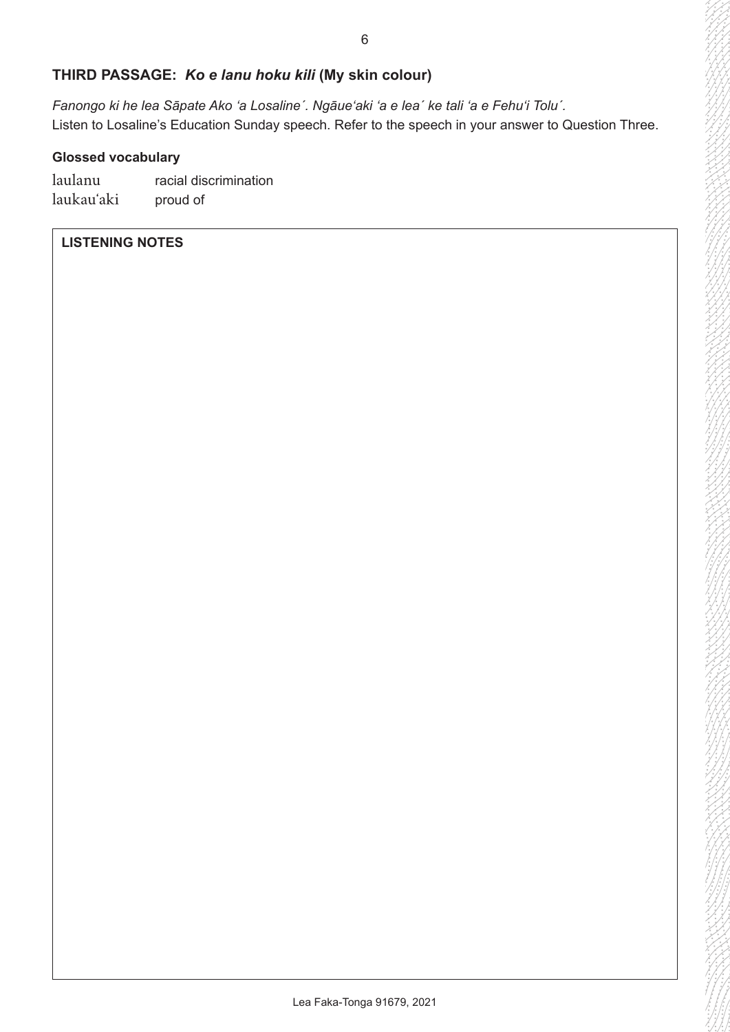## **THIRD PASSAGE:** *Ko e lanu hoku kili* **(My skin colour)**

*Fanongo ki he lea Sāpate Ako 'a Losaline´. Ngāueʻaki 'a e leaˊ ke tali 'a e Fehuʻi Toluˊ.* Listen to Losaline's Education Sunday speech. Refer to the speech in your answer to Question Three.

## **Glossed vocabulary**

laulanu racial discrimination laukauʻaki proud of

#### **LISTENING NOTES**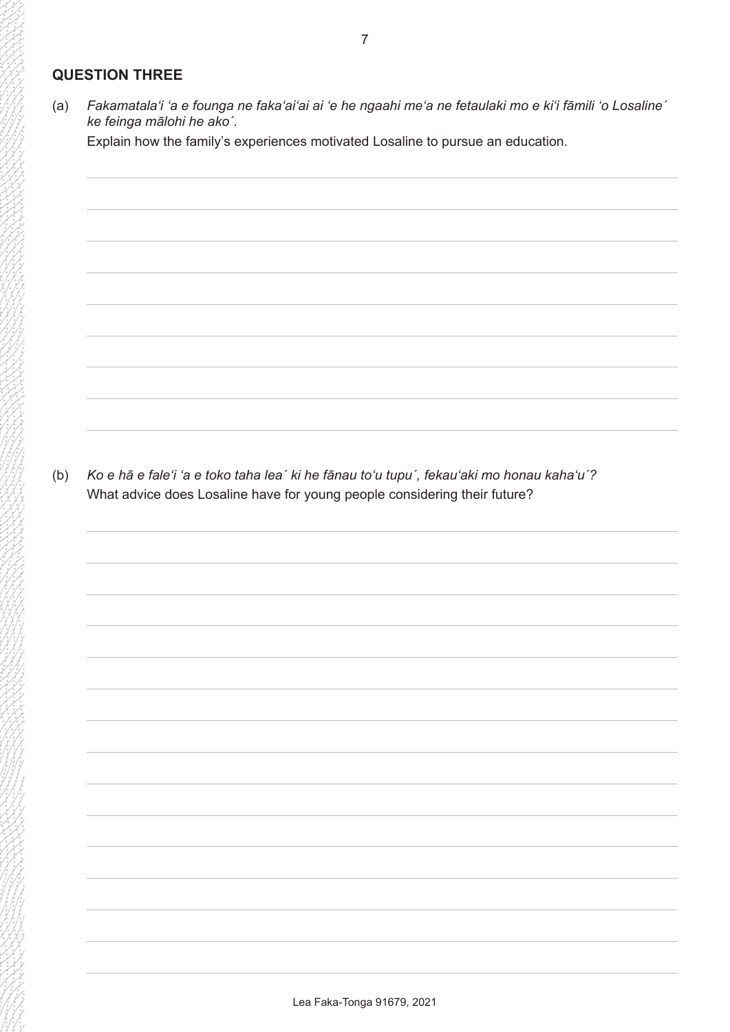## **QUESTION THREE**

(a) *Fakamatala'i ʻa e founga ne faka'ai'ai ai 'e he ngaahi meʻa ne fetaulaki mo e kiʻi fāmili 'o Losalineˊ ke feinga mālohi he akoˊ.*

Explain how the family's experiences motivated Losaline to pursue an education.

(b) *Ko e hā e faleʻi 'a e toko taha lea´ ki he fānau toʻu tupu´, fekauʻaki mo honau kahaʻu´?* What advice does Losaline have for young people considering their future?